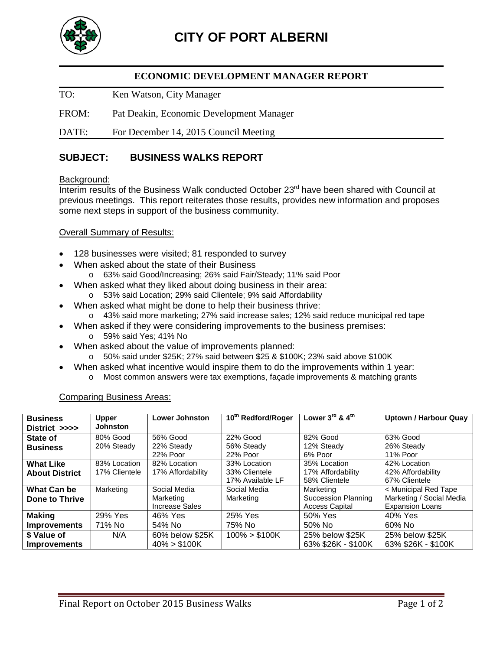

## **ECONOMIC DEVELOPMENT MANAGER REPORT**

TO: Ken Watson, City Manager

FROM: Pat Deakin, Economic Development Manager

DATE: For December 14, 2015 Council Meeting

# **SUBJECT: BUSINESS WALKS REPORT**

#### Background:

Interim results of the Business Walk conducted October 23<sup>rd</sup> have been shared with Council at previous meetings. This report reiterates those results, provides new information and proposes some next steps in support of the business community.

#### Overall Summary of Results:

- 128 businesses were visited; 81 responded to survey
- When asked about the state of their Business
	- o 63% said Good/Increasing; 26% said Fair/Steady; 11% said Poor
- When asked what they liked about doing business in their area: o 53% said Location; 29% said Clientele; 9% said Affordability
	- When asked what might be done to help their business thrive:
	- o 43% said more marketing; 27% said increase sales; 12% said reduce municipal red tape
- When asked if they were considering improvements to the business premises:
	- o 59% said Yes; 41% No
- When asked about the value of improvements planned:
	- o 50% said under \$25K; 27% said between \$25 & \$100K; 23% said above \$100K
- When asked what incentive would inspire them to do the improvements within 1 year:
	- o Most common answers were tax exemptions, façade improvements & matching grants

Comparing Business Areas:

| <b>Business</b>       | <b>Upper</b>    | <b>Lower Johnston</b> | 10th Redford/Roger | Lower 3 <sup>rd</sup> & 4 <sup>th</sup> | <b>Uptown / Harbour Quay</b> |
|-----------------------|-----------------|-----------------------|--------------------|-----------------------------------------|------------------------------|
| District >>>>         | <b>Johnston</b> |                       |                    |                                         |                              |
| State of              | 80% Good        | 56% Good              | 22% Good           | 82% Good                                | 63% Good                     |
| <b>Business</b>       | 20% Steady      | 22% Steady            | 56% Steady         | 12% Steady                              | 26% Steady                   |
|                       |                 | 22% Poor              | 22% Poor           | 6% Poor                                 | 11% Poor                     |
| <b>What Like</b>      | 83% Location    | 82% Location          | 33% Location       | 35% Location                            | 42% Location                 |
| <b>About District</b> | 17% Clientele   | 17% Affordability     | 33% Clientele      | 17% Affordability                       | 42% Affordability            |
|                       |                 |                       | 17% Available LF   | 58% Clientele                           | 67% Clientele                |
| What Can be           | Marketing       | Social Media          | Social Media       | Marketing                               | < Municipal Red Tape         |
| Done to Thrive        |                 | Marketing             | Marketing          | Succession Planning                     | Marketing / Social Media     |
|                       |                 | Increase Sales        |                    | <b>Access Capital</b>                   | <b>Expansion Loans</b>       |
| <b>Making</b>         | 29% Yes         | 46% Yes               | 25% Yes            | 50% Yes                                 | 40% Yes                      |
| <b>Improvements</b>   | 71% No          | 54% No                | 75% No             | 50% No                                  | 60% No                       |
| \$ Value of           | N/A             | 60% below \$25K       | $100\%$ > \$100K   | 25% below \$25K                         | 25% below \$25K              |
| <b>Improvements</b>   |                 | $40\% > $100K$        |                    | 63% \$26K - \$100K                      | 63% \$26K - \$100K           |